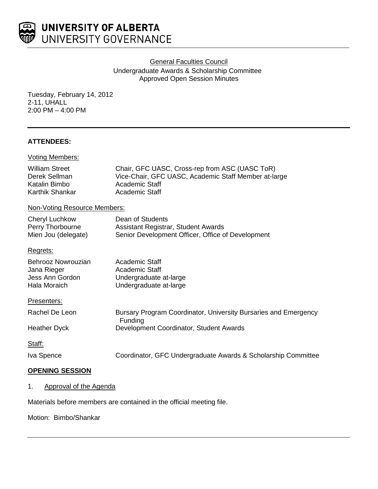

General Faculties Council

Undergraduate Awards & Scholarship Committee Approved Open Session Minutes

Tuesday, February 14, 2012 2-11, UHALL 2:00 PM – 4:00 PM

# **ATTENDEES:**

| <b>Voting Members:</b>                                                     |                                                                                                                                            |
|----------------------------------------------------------------------------|--------------------------------------------------------------------------------------------------------------------------------------------|
| <b>William Street</b><br>Derek Sellman<br>Katalin Bimbo<br>Karthik Shankar | Chair, GFC UASC, Cross-rep from ASC (UASC ToR)<br>Vice-Chair, GFC UASC, Academic Staff Member at-large<br>Academic Staff<br>Academic Staff |
| Non-Voting Resource Members:                                               |                                                                                                                                            |
| <b>Cheryl Luchkow</b><br>Perry Thorbourne<br>Mien Jou (delegate)           | Dean of Students<br>Assistant Registrar, Student Awards<br>Senior Development Officer, Office of Development                               |
| Regrets:                                                                   |                                                                                                                                            |
| Behrooz Nowrouzian<br>Jana Rieger<br>Jess Ann Gordon<br>Hala Moraich       | <b>Academic Staff</b><br>Academic Staff<br>Undergraduate at-large<br>Undergraduate at-large                                                |
| Presenters:                                                                |                                                                                                                                            |
| Rachel De Leon                                                             | Bursary Program Coordinator, University Bursaries and Emergency<br>Funding                                                                 |
| <b>Heather Dyck</b>                                                        | Development Coordinator, Student Awards                                                                                                    |
| Staff:                                                                     |                                                                                                                                            |
| Iva Spence                                                                 | Coordinator, GFC Undergraduate Awards & Scholarship Committee                                                                              |
|                                                                            |                                                                                                                                            |

# **OPENING SESSION**

1. Approval of the Agenda

Materials before members are contained in the official meeting file.

Motion: Bimbo/Shankar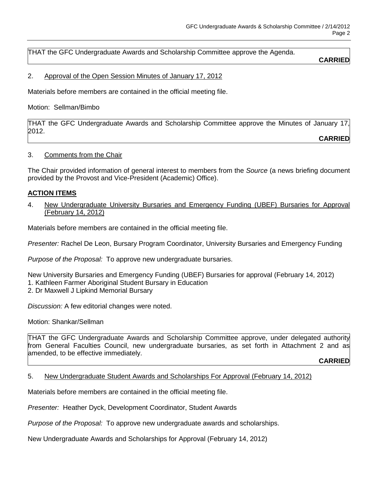THAT the GFC Undergraduate Awards and Scholarship Committee approve the Agenda.

## **CARRIED**

### 2. Approval of the Open Session Minutes of January 17, 2012

Materials before members are contained in the official meeting file.

Motion: Sellman/Bimbo

THAT the GFC Undergraduate Awards and Scholarship Committee approve the Minutes of January 17, 2012.

**CARRIED**

## 3. Comments from the Chair

The Chair provided information of general interest to members from the *Source* (a news briefing document provided by the Provost and Vice-President (Academic) Office).

## **ACTION ITEMS**

4. New Undergraduate University Bursaries and Emergency Funding (UBEF) Bursaries for Approval (February 14, 2012)

Materials before members are contained in the official meeting file.

*Presenter:* Rachel De Leon, Bursary Program Coordinator, University Bursaries and Emergency Funding

*Purpose of the Proposal:* To approve new undergraduate bursaries.

New University Bursaries and Emergency Funding (UBEF) Bursaries for approval (February 14, 2012) 1. Kathleen Farmer Aboriginal Student Bursary in Education

2. Dr Maxwell J Lipkind Memorial Bursary

*Discussion:* A few editorial changes were noted.

Motion: Shankar/Sellman

THAT the GFC Undergraduate Awards and Scholarship Committee approve, under delegated authority from General Faculties Council, new undergraduate bursaries, as set forth in Attachment 2 and as amended, to be effective immediately.

**CARRIED**

#### 5. New Undergraduate Student Awards and Scholarships For Approval (February 14, 2012)

Materials before members are contained in the official meeting file.

*Presenter:* Heather Dyck, Development Coordinator, Student Awards

*Purpose of the Proposal:* To approve new undergraduate awards and scholarships.

New Undergraduate Awards and Scholarships for Approval (February 14, 2012)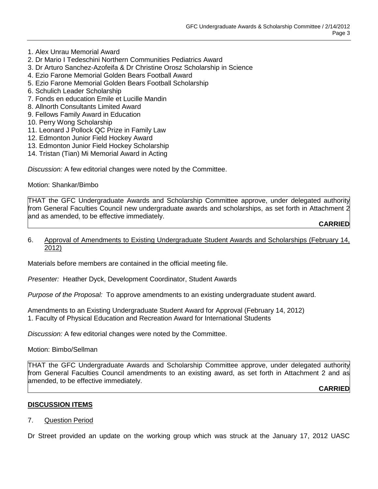- 1. Alex Unrau Memorial Award
- 2. Dr Mario I Tedeschini Northern Communities Pediatrics Award
- 3. Dr Arturo Sanchez-Azofeifa & Dr Christine Orosz Scholarship in Science
- 4. Ezio Farone Memorial Golden Bears Football Award
- 5. Ezio Farone Memorial Golden Bears Football Scholarship
- 6. Schulich Leader Scholarship
- 7. Fonds en education Emile et Lucille Mandin
- 8. Allnorth Consultants Limited Award
- 9. Fellows Family Award in Education
- 10. Perry Wong Scholarship
- 11. Leonard J Pollock QC Prize in Family Law
- 12. Edmonton Junior Field Hockey Award
- 13. Edmonton Junior Field Hockey Scholarship
- 14. Tristan (Tian) Mi Memorial Award in Acting

*Discussion:* A few editorial changes were noted by the Committee.

Motion: Shankar/Bimbo

THAT the GFC Undergraduate Awards and Scholarship Committee approve, under delegated authority from General Faculties Council new undergraduate awards and scholarships, as set forth in Attachment 2 and as amended, to be effective immediately.

**CARRIED**

#### 6. Approval of Amendments to Existing Undergraduate Student Awards and Scholarships (February 14, 2012)

Materials before members are contained in the official meeting file.

*Presenter:* Heather Dyck, Development Coordinator, Student Awards

*Purpose of the Proposal:* To approve amendments to an existing undergraduate student award.

Amendments to an Existing Undergraduate Student Award for Approval (February 14, 2012) 1. Faculty of Physical Education and Recreation Award for International Students

*Discussion:* A few editorial changes were noted by the Committee.

Motion: Bimbo/Sellman

THAT the GFC Undergraduate Awards and Scholarship Committee approve, under delegated authority from General Faculties Council amendments to an existing award, as set forth in Attachment 2 and as amended, to be effective immediately.

**CARRIED**

#### **DISCUSSION ITEMS**

7. Question Period

Dr Street provided an update on the working group which was struck at the January 17, 2012 UASC